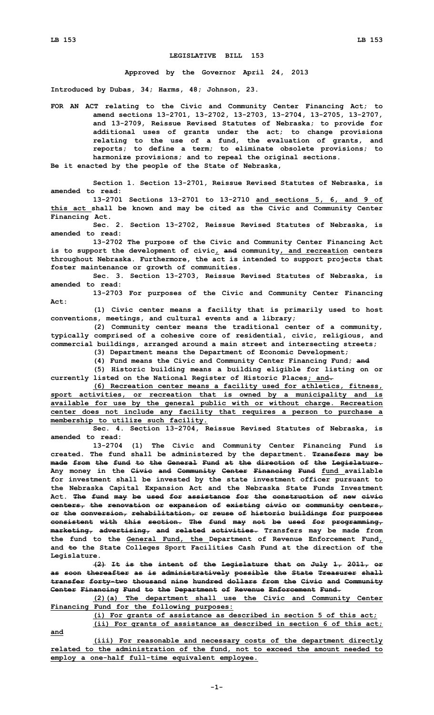## **LEGISLATIVE BILL 153**

**Approved by the Governor April 24, 2013**

**Introduced by Dubas, 34; Harms, 48; Johnson, 23.**

**FOR AN ACT relating to the Civic and Community Center Financing Act; to amend sections 13-2701, 13-2702, 13-2703, 13-2704, 13-2705, 13-2707, and 13-2709, Reissue Revised Statutes of Nebraska; to provide for additional uses of grants under the act; to change provisions relating to the use of <sup>a</sup> fund, the evaluation of grants, and reports; to define <sup>a</sup> term; to eliminate obsolete provisions; to harmonize provisions; and to repeal the original sections. Be it enacted by the people of the State of Nebraska,**

**Section 1. Section 13-2701, Reissue Revised Statutes of Nebraska, is amended to read:**

**13-2701 Sections 13-2701 to 13-2710 and sections 5, 6, and 9 of this act shall be known and may be cited as the Civic and Community Center Financing Act.**

**Sec. 2. Section 13-2702, Reissue Revised Statutes of Nebraska, is amended to read:**

**13-2702 The purpose of the Civic and Community Center Financing Act is to support the development of civic, and community, and recreation centers throughout Nebraska. Furthermore, the act is intended to support projects that foster maintenance or growth of communities.**

**Sec. 3. Section 13-2703, Reissue Revised Statutes of Nebraska, is amended to read:**

**13-2703 For purposes of the Civic and Community Center Financing Act:**

**(1) Civic center means <sup>a</sup> facility that is primarily used to host conventions, meetings, and cultural events and <sup>a</sup> library;**

**(2) Community center means the traditional center of <sup>a</sup> community, typically comprised of <sup>a</sup> cohesive core of residential, civic, religious, and commercial buildings, arranged around <sup>a</sup> main street and intersecting streets;**

**(3) Department means the Department of Economic Development; (4) Fund means the Civic and Community Center Financing Fund; and**

**(5) Historic building means <sup>a</sup> building eligible for listing on or currently listed on the National Register of Historic Places; and.**

**(6) Recreation center means <sup>a</sup> facility used for athletics, fitness, sport activities, or recreation that is owned by <sup>a</sup> municipality and is available for use by the general public with or without charge. Recreation center does not include any facility that requires <sup>a</sup> person to purchase <sup>a</sup> membership to utilize such facility.**

**Sec. 4. Section 13-2704, Reissue Revised Statutes of Nebraska, is amended to read:**

**13-2704 (1) The Civic and Community Center Financing Fund is created. The fund shall be administered by the department. Transfers may be made from the fund to the General Fund at the direction of the Legislature. Any money in the Civic and Community Center Financing Fund fund available for investment shall be invested by the state investment officer pursuant to the Nebraska Capital Expansion Act and the Nebraska State Funds Investment Act. The fund may be used for assistance for the construction of new civic centers, the renovation or expansion of existing civic or community centers, or the conversion, rehabilitation, or reuse of historic buildings for purposes consistent with this section. The fund may not be used for programming, marketing, advertising, and related activities. Transfers may be made from the fund to the General Fund, the Department of Revenue Enforcement Fund, and to the State Colleges Sport Facilities Cash Fund at the direction of the Legislature.**

**(2) It is the intent of the Legislature that on July 1, 2011, or as soon thereafter as is administratively possible the State Treasurer shall transfer forty-two thousand nine hundred dollars from the Civic and Community Center Financing Fund to the Department of Revenue Enforcement Fund.**

**(2)(a) The department shall use the Civic and Community Center Financing Fund for the following purposes:**

**(i) For grants of assistance as described in section 5 of this act;**

**and**

**(ii) For grants of assistance as described in section 6 of this act;**

**(iii) For reasonable and necessary costs of the department directly related to the administration of the fund, not to exceed the amount needed to employ <sup>a</sup> one-half full-time equivalent employee.**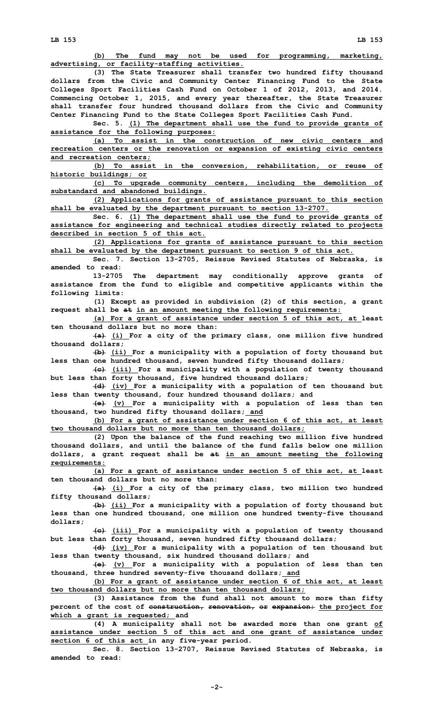**(b) The fund may not be used for programming, marketing, advertising, or facility-staffing activities.**

**(3) The State Treasurer shall transfer two hundred fifty thousand dollars from the Civic and Community Center Financing Fund to the State Colleges Sport Facilities Cash Fund on October 1 of 2012, 2013, and 2014. Commencing October 1, 2015, and every year thereafter, the State Treasurer shall transfer four hundred thousand dollars from the Civic and Community Center Financing Fund to the State Colleges Sport Facilities Cash Fund.**

**Sec. 5. (1) The department shall use the fund to provide grants of assistance for the following purposes:**

**(a) To assist in the construction of new civic centers and recreation centers or the renovation or expansion of existing civic centers and recreation centers;**

**(b) To assist in the conversion, rehabilitation, or reuse of historic buildings; or**

**(c) To upgrade community centers, including the demolition of substandard and abandoned buildings.**

**(2) Applications for grants of assistance pursuant to this section shall be evaluated by the department pursuant to section 13-2707.**

**Sec. 6. (1) The department shall use the fund to provide grants of assistance for engineering and technical studies directly related to projects described in section 5 of this act.**

**(2) Applications for grants of assistance pursuant to this section shall be evaluated by the department pursuant to section 9 of this act.**

**Sec. 7. Section 13-2705, Reissue Revised Statutes of Nebraska, is amended to read:**

**13-2705 The department may conditionally approve grants of assistance from the fund to eligible and competitive applicants within the following limits:**

**(1) Except as provided in subdivision (2) of this section, <sup>a</sup> grant request shall be at in an amount meeting the following requirements:**

**(a) For <sup>a</sup> grant of assistance under section 5 of this act, at least ten thousand dollars but no more than:**

**(a) (i) For <sup>a</sup> city of the primary class, one million five hundred thousand dollars;**

**(b) (ii) For <sup>a</sup> municipality with <sup>a</sup> population of forty thousand but less than one hundred thousand, seven hundred fifty thousand dollars;**

**(c) (iii) For <sup>a</sup> municipality with <sup>a</sup> population of twenty thousand but less than forty thousand, five hundred thousand dollars;**

**(d) (iv) For <sup>a</sup> municipality with <sup>a</sup> population of ten thousand but less than twenty thousand, four hundred thousand dollars; and**

**(e) (v) For <sup>a</sup> municipality with <sup>a</sup> population of less than ten thousand, two hundred fifty thousand dollars; and**

**(b) For <sup>a</sup> grant of assistance under section 6 of this act, at least two thousand dollars but no more than ten thousand dollars;**

**(2) Upon the balance of the fund reaching two million five hundred thousand dollars, and until the balance of the fund falls below one million dollars, <sup>a</sup> grant request shall be at in an amount meeting the following requirements:**

**(a) For <sup>a</sup> grant of assistance under section 5 of this act, at least ten thousand dollars but no more than:**

**(a) (i) For <sup>a</sup> city of the primary class, two million two hundred fifty thousand dollars;**

**(b) (ii) For <sup>a</sup> municipality with <sup>a</sup> population of forty thousand but less than one hundred thousand, one million one hundred twenty-five thousand dollars;**

**(c) (iii) For <sup>a</sup> municipality with <sup>a</sup> population of twenty thousand but less than forty thousand, seven hundred fifty thousand dollars;**

**(d) (iv) For <sup>a</sup> municipality with <sup>a</sup> population of ten thousand but less than twenty thousand, six hundred thousand dollars; and**

**(e) (v) For <sup>a</sup> municipality with <sup>a</sup> population of less than ten thousand, three hundred seventy-five thousand dollars; and**

**(b) For <sup>a</sup> grant of assistance under section 6 of this act, at least two thousand dollars but no more than ten thousand dollars;**

**(3) Assistance from the fund shall not amount to more than fifty percent of the cost of construction, renovation, or expansion; the project for which <sup>a</sup> grant is requested; and**

**(4) <sup>A</sup> municipality shall not be awarded more than one grant of assistance under section 5 of this act and one grant of assistance under section 6 of this act in any five-year period.**

**Sec. 8. Section 13-2707, Reissue Revised Statutes of Nebraska, is amended to read:**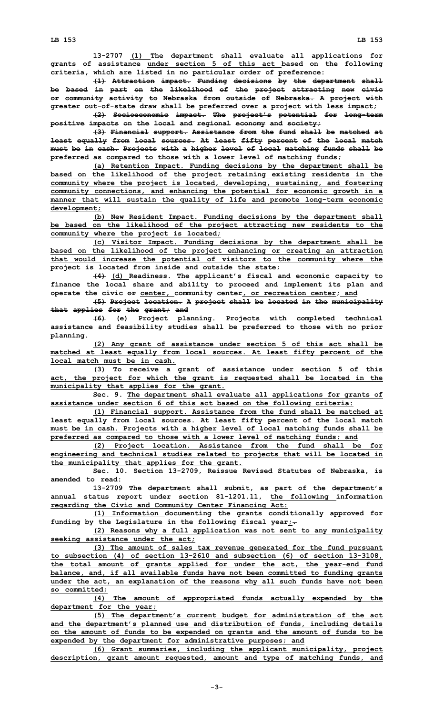**13-2707 (1) The department shall evaluate all applications for grants of assistance under section 5 of this act based on the following criteria, which are listed in no particular order of preference:**

**(1) Attraction impact. Funding decisions by the department shall be based in part on the likelihood of the project attracting new civic or community activity to Nebraska from outside of Nebraska. A project with greater out-of-state draw shall be preferred over <sup>a</sup> project with less impact;**

**(2) Socioeconomic impact. The project's potential for long-term positive impacts on the local and regional economy and society;**

**(3) Financial support. Assistance from the fund shall be matched at least equally from local sources. At least fifty percent of the local match must be in cash. Projects with <sup>a</sup> higher level of local matching funds shall be preferred as compared to those with <sup>a</sup> lower level of matching funds;**

**(a) Retention Impact. Funding decisions by the department shall be based on the likelihood of the project retaining existing residents in the community where the project is located, developing, sustaining, and fostering community connections, and enhancing the potential for economic growth in <sup>a</sup> manner that will sustain the quality of life and promote long-term economic development;**

**(b) New Resident Impact. Funding decisions by the department shall be based on the likelihood of the project attracting new residents to the community where the project is located;**

**(c) Visitor Impact. Funding decisions by the department shall be based on the likelihood of the project enhancing or creating an attraction that would increase the potential of visitors to the community where the project is located from inside and outside the state;**

**(4) (d) Readiness. The applicant's fiscal and economic capacity to finance the local share and ability to proceed and implement its plan and operate the civic or center, community center, or recreation center; and**

**(5) Project location. <sup>A</sup> project shall be located in the municipality that applies for the grant; and**

**(6) (e) Project planning. Projects with completed technical assistance and feasibility studies shall be preferred to those with no prior planning.**

**(2) Any grant of assistance under section 5 of this act shall be matched at least equally from local sources. At least fifty percent of the local match must be in cash.**

**(3) To receive <sup>a</sup> grant of assistance under section 5 of this act, the project for which the grant is requested shall be located in the municipality that applies for the grant.**

**Sec. 9. The department shall evaluate all applications for grants of assistance under section 6 of this act based on the following criteria:**

**(1) Financial support. Assistance from the fund shall be matched at least equally from local sources. At least fifty percent of the local match must be in cash. Projects with <sup>a</sup> higher level of local matching funds shall be preferred as compared to those with <sup>a</sup> lower level of matching funds; and**

**(2) Project location. Assistance from the fund shall be for engineering and technical studies related to projects that will be located in the municipality that applies for the grant.**

**Sec. 10. Section 13-2709, Reissue Revised Statutes of Nebraska, is amended to read:**

**13-2709 The department shall submit, as part of the department's annual status report under section 81-1201.11, the following information regarding the Civic and Community Center Financing Act:**

**(1) Information documenting the grants conditionally approved for funding by the Legislature in the following fiscal year;.**

**(2) Reasons why <sup>a</sup> full application was not sent to any municipality seeking assistance under the act;**

**(3) The amount of sales tax revenue generated for the fund pursuant to subsection (4) of section 13-2610 and subsection (6) of section 13-3108, the total amount of grants applied for under the act, the year-end fund balance, and, if all available funds have not been committed to funding grants under the act, an explanation of the reasons why all such funds have not been so committed;**

**(4) The amount of appropriated funds actually expended by the department for the year;**

**(5) The department's current budget for administration of the act and the department's planned use and distribution of funds, including details on the amount of funds to be expended on grants and the amount of funds to be expended by the department for administrative purposes; and**

**(6) Grant summaries, including the applicant municipality, project description, grant amount requested, amount and type of matching funds, and**